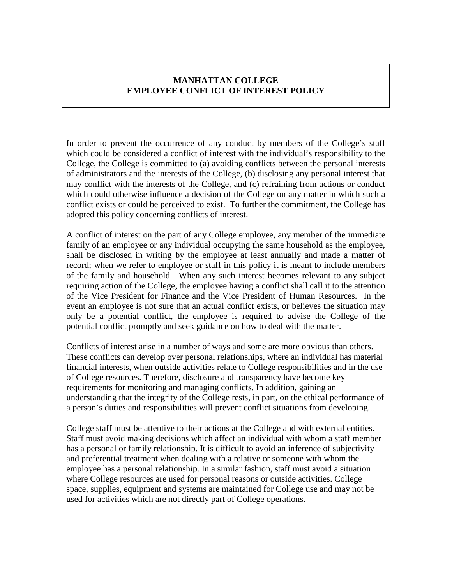## **MANHATTAN COLLEGE EMPLOYEE CONFLICT OF INTEREST POLICY**

In order to prevent the occurrence of any conduct by members of the College's staff which could be considered a conflict of interest with the individual's responsibility to the College, the College is committed to (a) avoiding conflicts between the personal interests of administrators and the interests of the College, (b) disclosing any personal interest that may conflict with the interests of the College, and (c) refraining from actions or conduct which could otherwise influence a decision of the College on any matter in which such a conflict exists or could be perceived to exist. To further the commitment, the College has adopted this policy concerning conflicts of interest.

A conflict of interest on the part of any College employee, any member of the immediate family of an employee or any individual occupying the same household as the employee, shall be disclosed in writing by the employee at least annually and made a matter of record; when we refer to employee or staff in this policy it is meant to include members of the family and household. When any such interest becomes relevant to any subject requiring action of the College, the employee having a conflict shall call it to the attention of the Vice President for Finance and the Vice President of Human Resources. In the event an employee is not sure that an actual conflict exists, or believes the situation may only be a potential conflict, the employee is required to advise the College of the potential conflict promptly and seek guidance on how to deal with the matter.

Conflicts of interest arise in a number of ways and some are more obvious than others. These conflicts can develop over personal relationships, where an individual has material financial interests, when outside activities relate to College responsibilities and in the use of College resources. Therefore, disclosure and transparency have become key requirements for monitoring and managing conflicts. In addition, gaining an understanding that the integrity of the College rests, in part, on the ethical performance of a person's duties and responsibilities will prevent conflict situations from developing.

College staff must be attentive to their actions at the College and with external entities. Staff must avoid making decisions which affect an individual with whom a staff member has a personal or family relationship. It is difficult to avoid an inference of subjectivity and preferential treatment when dealing with a relative or someone with whom the employee has a personal relationship. In a similar fashion, staff must avoid a situation where College resources are used for personal reasons or outside activities. College space, supplies, equipment and systems are maintained for College use and may not be used for activities which are not directly part of College operations.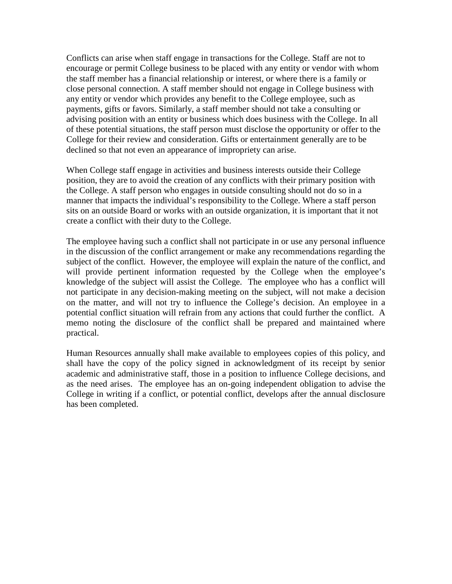Conflicts can arise when staff engage in transactions for the College. Staff are not to encourage or permit College business to be placed with any entity or vendor with whom the staff member has a financial relationship or interest, or where there is a family or close personal connection. A staff member should not engage in College business with any entity or vendor which provides any benefit to the College employee, such as payments, gifts or favors. Similarly, a staff member should not take a consulting or advising position with an entity or business which does business with the College. In all of these potential situations, the staff person must disclose the opportunity or offer to the College for their review and consideration. Gifts or entertainment generally are to be declined so that not even an appearance of impropriety can arise.

When College staff engage in activities and business interests outside their College position, they are to avoid the creation of any conflicts with their primary position with the College. A staff person who engages in outside consulting should not do so in a manner that impacts the individual's responsibility to the College. Where a staff person sits on an outside Board or works with an outside organization, it is important that it not create a conflict with their duty to the College.

The employee having such a conflict shall not participate in or use any personal influence in the discussion of the conflict arrangement or make any recommendations regarding the subject of the conflict. However, the employee will explain the nature of the conflict, and will provide pertinent information requested by the College when the employee's knowledge of the subject will assist the College. The employee who has a conflict will not participate in any decision-making meeting on the subject, will not make a decision on the matter, and will not try to influence the College's decision. An employee in a potential conflict situation will refrain from any actions that could further the conflict. A memo noting the disclosure of the conflict shall be prepared and maintained where practical.

Human Resources annually shall make available to employees copies of this policy, and shall have the copy of the policy signed in acknowledgment of its receipt by senior academic and administrative staff, those in a position to influence College decisions, and as the need arises. The employee has an on-going independent obligation to advise the College in writing if a conflict, or potential conflict, develops after the annual disclosure has been completed.